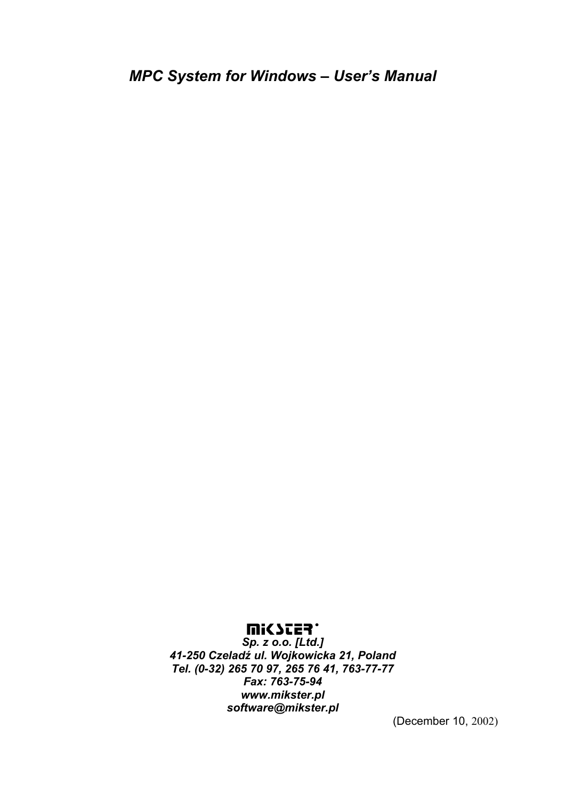### **UISSIES.**

*Sp. z o.o. [Ltd.] 41-250 Czeladź ul. Wojkowicka 21, Poland Tel. (0-32) 265 70 97, 265 76 41, 763-77-77 Fax: 763-75-94 www.mikster.pl software@mikster.pl* 

(December 10, 2002)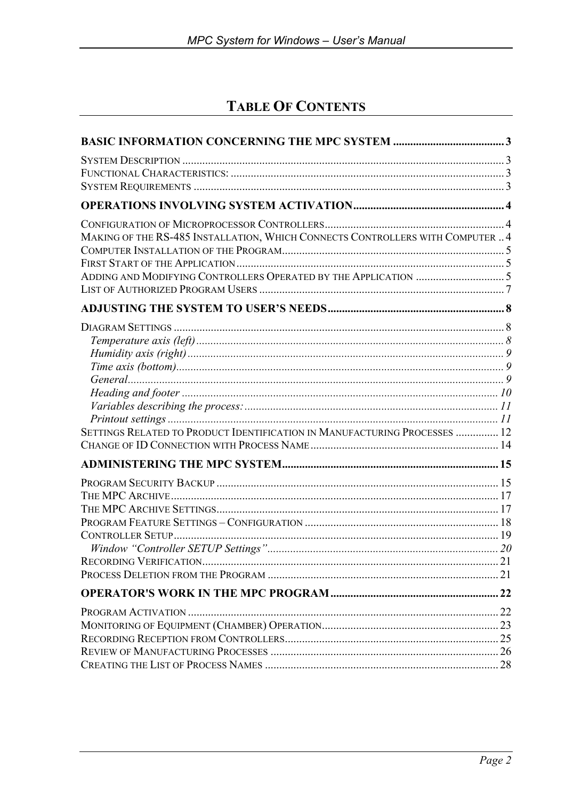# **TABLE OF CONTENTS**

| MAKING OF THE RS-485 INSTALLATION, WHICH CONNECTS CONTROLLERS WITH COMPUTER  4 |  |
|--------------------------------------------------------------------------------|--|
|                                                                                |  |
|                                                                                |  |
|                                                                                |  |
|                                                                                |  |
|                                                                                |  |
|                                                                                |  |
|                                                                                |  |
|                                                                                |  |
|                                                                                |  |
|                                                                                |  |
|                                                                                |  |
|                                                                                |  |
| SETTINGS RELATED TO PRODUCT IDENTIFICATION IN MANUFACTURING PROCESSES  12      |  |
|                                                                                |  |
|                                                                                |  |
|                                                                                |  |
|                                                                                |  |
|                                                                                |  |
|                                                                                |  |
|                                                                                |  |
|                                                                                |  |
|                                                                                |  |
|                                                                                |  |
|                                                                                |  |
|                                                                                |  |
|                                                                                |  |
|                                                                                |  |
|                                                                                |  |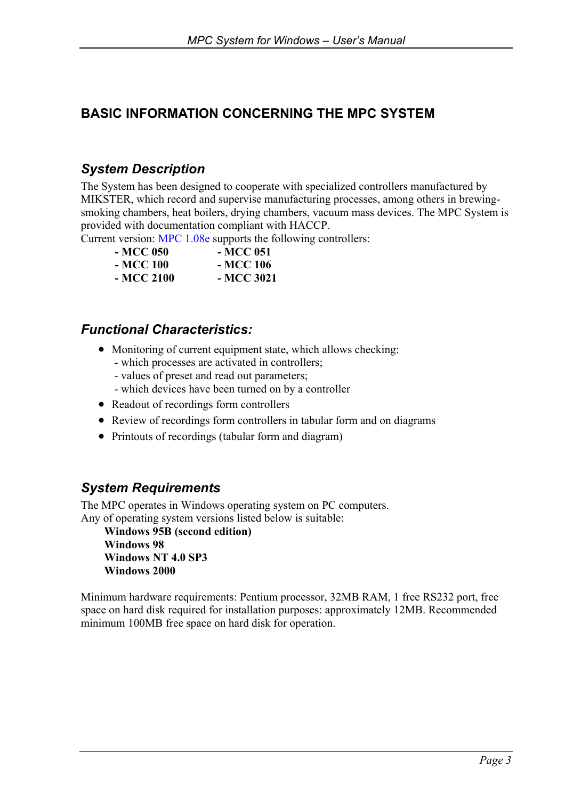# **BASIC INFORMATION CONCERNING THE MPC SYSTEM**

## *System Description*

The System has been designed to cooperate with specialized controllers manufactured by MIKSTER, which record and supervise manufacturing processes, among others in brewingsmoking chambers, heat boilers, drying chambers, vacuum mass devices. The MPC System is provided with documentation compliant with HACCP.

Current version: MPC 1.08e supports the following controllers:

| - MCC 050  | - MCC 051  |
|------------|------------|
| - MCC 100  | - MCC 106  |
| - MCC 2100 | - MCC 3021 |

### *Functional Characteristics:*

- Monitoring of current equipment state, which allows checking:
	- which processes are activated in controllers;
	- values of preset and read out parameters;
	- which devices have been turned on by a controller
- Readout of recordings form controllers
- Review of recordings form controllers in tabular form and on diagrams
- Printouts of recordings (tabular form and diagram)

### *System Requirements*

The MPC operates in Windows operating system on PC computers. Any of operating system versions listed below is suitable:

**Windows 95B (second edition) Windows 98 Windows NT 4.0 SP3 Windows 2000** 

Minimum hardware requirements: Pentium processor, 32MB RAM, 1 free RS232 port, free space on hard disk required for installation purposes: approximately 12MB. Recommended minimum 100MB free space on hard disk for operation.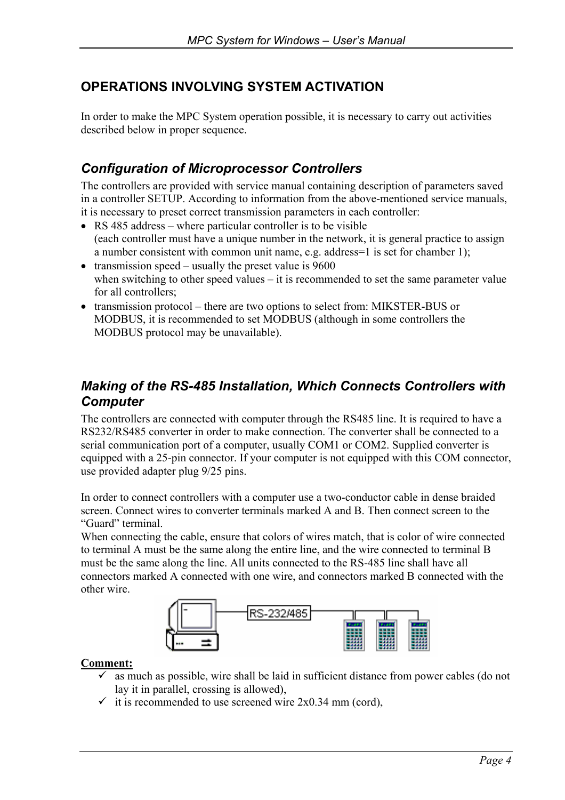## **OPERATIONS INVOLVING SYSTEM ACTIVATION**

In order to make the MPC System operation possible, it is necessary to carry out activities described below in proper sequence.

## *Configuration of Microprocessor Controllers*

The controllers are provided with service manual containing description of parameters saved in a controller SETUP. According to information from the above-mentioned service manuals, it is necessary to preset correct transmission parameters in each controller:

- RS 485 address where particular controller is to be visible (each controller must have a unique number in the network, it is general practice to assign a number consistent with common unit name, e.g. address=1 is set for chamber 1);
- transmission speed usually the preset value is 9600 when switching to other speed values – it is recommended to set the same parameter value for all controllers;
- transmission protocol there are two options to select from: MIKSTER-BUS or MODBUS, it is recommended to set MODBUS (although in some controllers the MODBUS protocol may be unavailable).

## *Making of the RS-485 Installation, Which Connects Controllers with Computer*

The controllers are connected with computer through the RS485 line. It is required to have a RS232/RS485 converter in order to make connection. The converter shall be connected to a serial communication port of a computer, usually COM1 or COM2. Supplied converter is equipped with a 25-pin connector. If your computer is not equipped with this COM connector, use provided adapter plug 9/25 pins.

In order to connect controllers with a computer use a two-conductor cable in dense braided screen. Connect wires to converter terminals marked A and B. Then connect screen to the "Guard" terminal.

When connecting the cable, ensure that colors of wires match, that is color of wire connected to terminal A must be the same along the entire line, and the wire connected to terminal B must be the same along the line. All units connected to the RS-485 line shall have all connectors marked A connected with one wire, and connectors marked B connected with the other wire.



#### **Comment:**

- $\checkmark$  as much as possible, wire shall be laid in sufficient distance from power cables (do not lay it in parallel, crossing is allowed),
- $\checkmark$  it is recommended to use screened wire 2x0.34 mm (cord),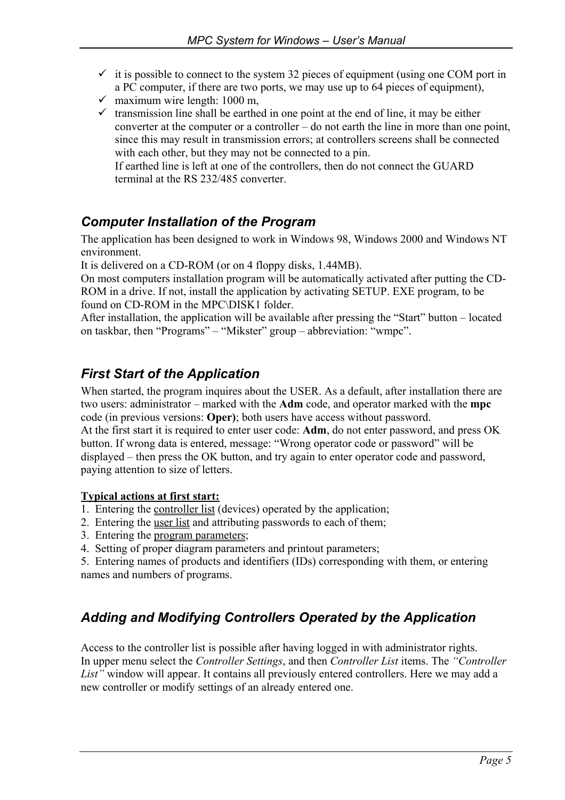- $\checkmark$  it is possible to connect to the system 32 pieces of equipment (using one COM port in a PC computer, if there are two ports, we may use up to 64 pieces of equipment),
- $\checkmark$  maximum wire length: 1000 m,
- $\checkmark$  transmission line shall be earthed in one point at the end of line, it may be either converter at the computer or a controller – do not earth the line in more than one point, since this may result in transmission errors; at controllers screens shall be connected with each other, but they may not be connected to a pin.

If earthed line is left at one of the controllers, then do not connect the GUARD terminal at the RS 232/485 converter.

## *Computer Installation of the Program*

The application has been designed to work in Windows 98, Windows 2000 and Windows NT environment.

It is delivered on a CD-ROM (or on 4 floppy disks, 1.44MB).

On most computers installation program will be automatically activated after putting the CD-ROM in a drive. If not, install the application by activating SETUP. EXE program, to be found on CD-ROM in the MPC\DISK1 folder.

After installation, the application will be available after pressing the "Start" button – located on taskbar, then "Programs" – "Mikster" group – abbreviation: "wmpc".

## *First Start of the Application*

When started, the program inquires about the USER. As a default, after installation there are two users: administrator – marked with the **Adm** code, and operator marked with the **mpc** code (in previous versions: **Oper)**; both users have access without password.

At the first start it is required to enter user code: **Adm**, do not enter password, and press OK button. If wrong data is entered, message: "Wrong operator code or password" will be displayed – then press the OK button, and try again to enter operator code and password, paying attention to size of letters.

### **Typical actions at first start:**

- 1. Entering the controller list (devices) operated by the application;
- 2. Entering the user list and attributing passwords to each of them;
- 3. Entering the program parameters;
- 4. Setting of proper diagram parameters and printout parameters;

5. Entering names of products and identifiers (IDs) corresponding with them, or entering names and numbers of programs.

## *Adding and Modifying Controllers Operated by the Application*

Access to the controller list is possible after having logged in with administrator rights. In upper menu select the *Controller Settings*, and then *Controller List* items. The *"Controller List"* window will appear. It contains all previously entered controllers. Here we may add a new controller or modify settings of an already entered one.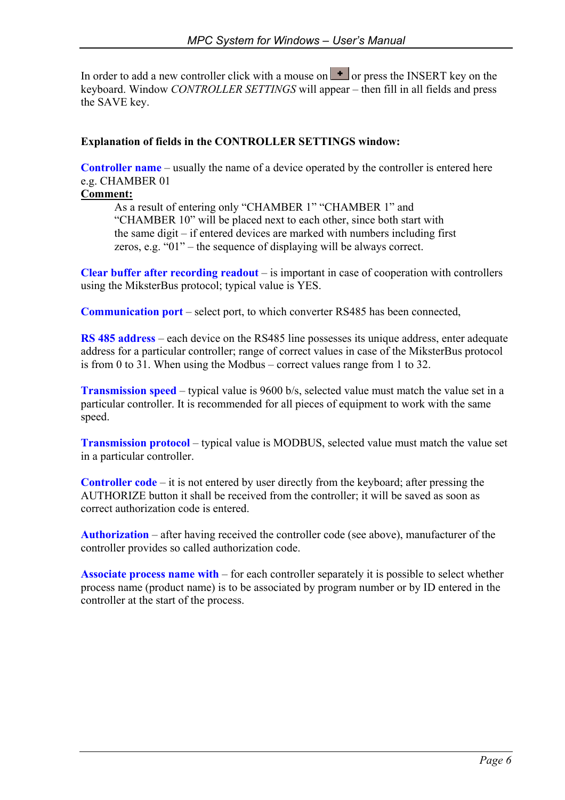In order to add a new controller click with a mouse on  $\mathbf{I}$  or press the INSERT key on the keyboard. Window *CONTROLLER SETTINGS* will appear – then fill in all fields and press the SAVE key.

#### **Explanation of fields in the CONTROLLER SETTINGS window:**

**Controller name** – usually the name of a device operated by the controller is entered here e.g. CHAMBER 01

### **Comment:**

As a result of entering only "CHAMBER 1" "CHAMBER 1" and "CHAMBER 10" will be placed next to each other, since both start with the same digit – if entered devices are marked with numbers including first zeros, e.g. "01" – the sequence of displaying will be always correct.

**Clear buffer after recording readout** – is important in case of cooperation with controllers using the MiksterBus protocol; typical value is YES.

**Communication port** – select port, to which converter RS485 has been connected,

**RS 485 address** – each device on the RS485 line possesses its unique address, enter adequate address for a particular controller; range of correct values in case of the MiksterBus protocol is from 0 to 31. When using the Modbus – correct values range from 1 to 32.

**Transmission speed** – typical value is 9600 b/s, selected value must match the value set in a particular controller. It is recommended for all pieces of equipment to work with the same speed.

**Transmission protocol** – typical value is MODBUS, selected value must match the value set in a particular controller.

**Controller code** – it is not entered by user directly from the keyboard; after pressing the AUTHORIZE button it shall be received from the controller; it will be saved as soon as correct authorization code is entered.

**Authorization** – after having received the controller code (see above), manufacturer of the controller provides so called authorization code.

**Associate process name with** – for each controller separately it is possible to select whether process name (product name) is to be associated by program number or by ID entered in the controller at the start of the process.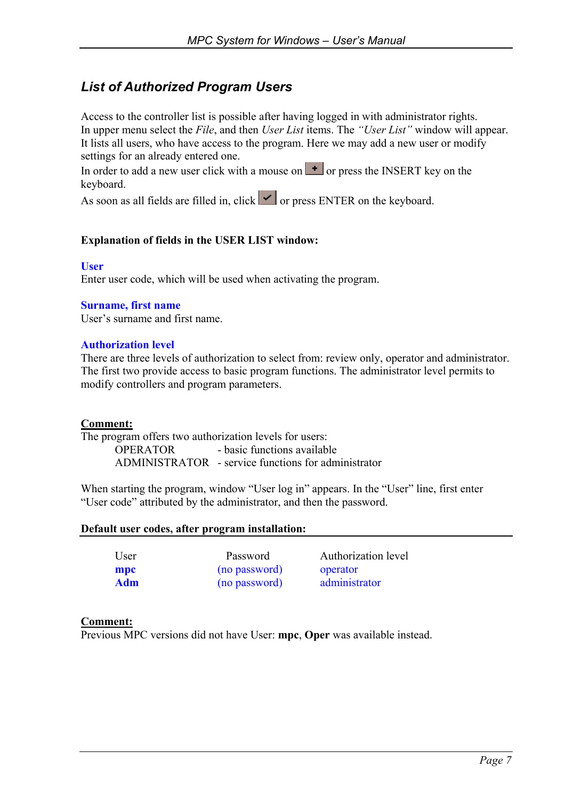## *List of Authorized Program Users*

Access to the controller list is possible after having logged in with administrator rights. In upper menu select the *File*, and then *User List* items. The *"User List"* window will appear. It lists all users, who have access to the program. Here we may add a new user or modify settings for an already entered one.

In order to add a new user click with a mouse on  $\mathbf{I}$  or press the INSERT key on the keyboard.

As soon as all fields are filled in, click  $\vert \cdot \vert$  or press ENTER on the keyboard.

### **Explanation of fields in the USER LIST window:**

#### **User**

Enter user code, which will be used when activating the program.

#### **Surname, first name**

User's surname and first name.

#### **Authorization level**

There are three levels of authorization to select from: review only, operator and administrator. The first two provide access to basic program functions. The administrator level permits to modify controllers and program parameters.

#### **Comment:**

The program offers two authorization levels for users:

 OPERATOR - basic functions available ADMINISTRATOR - service functions for administrator

When starting the program, window "User log in" appears. In the "User" line, first enter "User code" attributed by the administrator, and then the password.

#### **Default user codes, after program installation:**

| Jser |  |
|------|--|
| npc  |  |
| Adm  |  |

**mpc** (no password) operator **Adm** (no password) administrator

User Password Authorization level

#### **Comment:**

Previous MPC versions did not have User: **mpc**, **Oper** was available instead.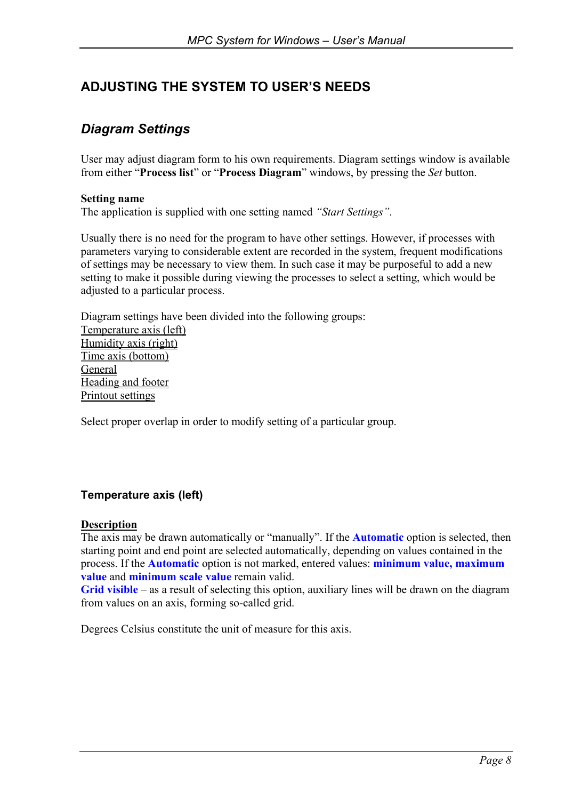# **ADJUSTING THE SYSTEM TO USER'S NEEDS**

## *Diagram Settings*

User may adjust diagram form to his own requirements. Diagram settings window is available from either "**Process list**" or "**Process Diagram**" windows, by pressing the *Set* button.

#### **Setting name**

The application is supplied with one setting named *"Start Settings"*.

Usually there is no need for the program to have other settings. However, if processes with parameters varying to considerable extent are recorded in the system, frequent modifications of settings may be necessary to view them. In such case it may be purposeful to add a new setting to make it possible during viewing the processes to select a setting, which would be adjusted to a particular process.

Diagram settings have been divided into the following groups: Temperature axis (left) Humidity axis (right) Time axis (bottom) General Heading and footer Printout settings

Select proper overlap in order to modify setting of a particular group.

### **Temperature axis (left)**

#### **Description**

The axis may be drawn automatically or "manually". If the **Automatic** option is selected, then starting point and end point are selected automatically, depending on values contained in the process. If the **Automatic** option is not marked, entered values: **minimum value, maximum value** and **minimum scale value** remain valid.

**Grid visible** – as a result of selecting this option, auxiliary lines will be drawn on the diagram from values on an axis, forming so-called grid.

Degrees Celsius constitute the unit of measure for this axis.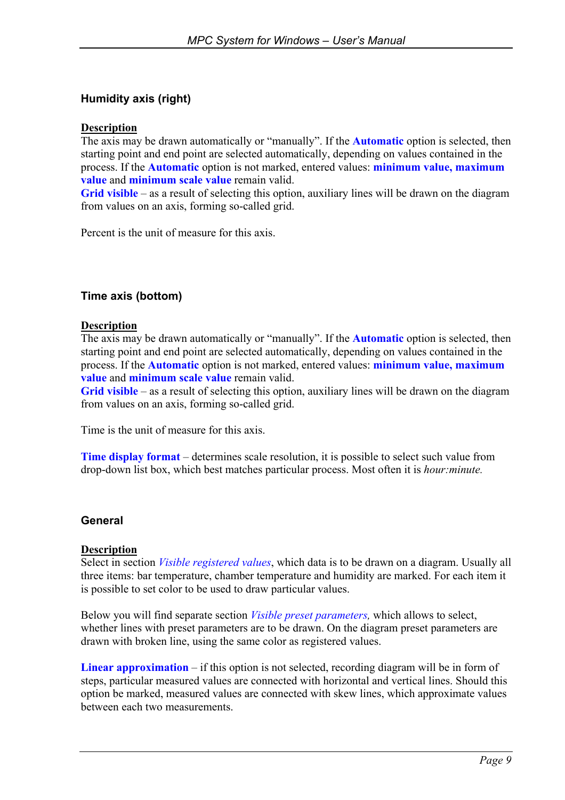### **Humidity axis (right)**

#### **Description**

The axis may be drawn automatically or "manually". If the **Automatic** option is selected, then starting point and end point are selected automatically, depending on values contained in the process. If the **Automatic** option is not marked, entered values: **minimum value, maximum value** and **minimum scale value** remain valid.

**Grid visible** – as a result of selecting this option, auxiliary lines will be drawn on the diagram from values on an axis, forming so-called grid.

Percent is the unit of measure for this axis.

### **Time axis (bottom)**

#### **Description**

The axis may be drawn automatically or "manually". If the **Automatic** option is selected, then starting point and end point are selected automatically, depending on values contained in the process. If the **Automatic** option is not marked, entered values: **minimum value, maximum value** and **minimum scale value** remain valid.

**Grid visible** – as a result of selecting this option, auxiliary lines will be drawn on the diagram from values on an axis, forming so-called grid.

Time is the unit of measure for this axis.

**Time display format** – determines scale resolution, it is possible to select such value from drop-down list box, which best matches particular process. Most often it is *hour:minute.*

#### **General**

#### **Description**

Select in section *Visible registered values*, which data is to be drawn on a diagram. Usually all three items: bar temperature, chamber temperature and humidity are marked. For each item it is possible to set color to be used to draw particular values.

Below you will find separate section *Visible preset parameters,* which allows to select, whether lines with preset parameters are to be drawn. On the diagram preset parameters are drawn with broken line, using the same color as registered values.

**Linear approximation** – if this option is not selected, recording diagram will be in form of steps, particular measured values are connected with horizontal and vertical lines. Should this option be marked, measured values are connected with skew lines, which approximate values between each two measurements.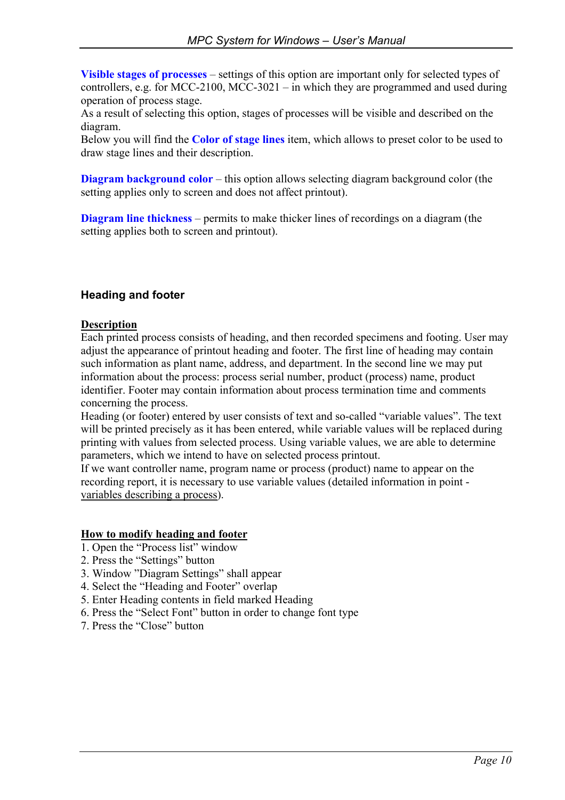**Visible stages of processes** – settings of this option are important only for selected types of controllers, e.g. for MCC-2100, MCC-3021 – in which they are programmed and used during operation of process stage.

As a result of selecting this option, stages of processes will be visible and described on the diagram.

Below you will find the **Color of stage lines** item, which allows to preset color to be used to draw stage lines and their description.

**Diagram background color** – this option allows selecting diagram background color (the setting applies only to screen and does not affect printout).

**Diagram line thickness** – permits to make thicker lines of recordings on a diagram (the setting applies both to screen and printout).

### **Heading and footer**

#### **Description**

Each printed process consists of heading, and then recorded specimens and footing. User may adjust the appearance of printout heading and footer. The first line of heading may contain such information as plant name, address, and department. In the second line we may put information about the process: process serial number, product (process) name, product identifier. Footer may contain information about process termination time and comments concerning the process.

Heading (or footer) entered by user consists of text and so-called "variable values". The text will be printed precisely as it has been entered, while variable values will be replaced during printing with values from selected process. Using variable values, we are able to determine parameters, which we intend to have on selected process printout.

If we want controller name, program name or process (product) name to appear on the recording report, it is necessary to use variable values (detailed information in point variables describing a process).

#### **How to modify heading and footer**

- 1. Open the "Process list" window
- 2. Press the "Settings" button
- 3. Window "Diagram Settings" shall appear
- 4. Select the "Heading and Footer" overlap
- 5. Enter Heading contents in field marked Heading
- 6. Press the "Select Font" button in order to change font type
- 7. Press the "Close" button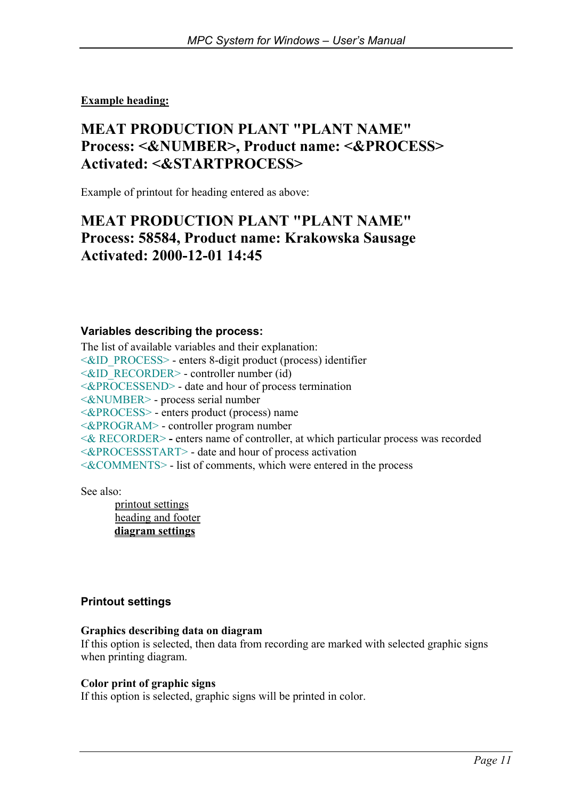### **Example heading:**

# **MEAT PRODUCTION PLANT "PLANT NAME" Process: <&NUMBER>, Product name: <&PROCESS> Activated: <&STARTPROCESS>**

Example of printout for heading entered as above:

# **MEAT PRODUCTION PLANT "PLANT NAME" Process: 58584, Product name: Krakowska Sausage Activated: 2000-12-01 14:45**

#### **Variables describing the process:**

The list of available variables and their explanation: <&ID\_PROCESS> - enters 8-digit product (process) identifier <&ID\_RECORDER> - controller number (id) <&PROCESSEND> - date and hour of process termination <&NUMBER> - process serial number <&PROCESS> - enters product (process) name <&PROGRAM> - controller program number <& RECORDER> **-** enters name of controller, at which particular process was recorded <&PROCESSSTART> - date and hour of process activation <&COMMENTS> - list of comments, which were entered in the process

See also:

 printout settings heading and footer **diagram settings**

#### **Printout settings**

#### **Graphics describing data on diagram**

If this option is selected, then data from recording are marked with selected graphic signs when printing diagram.

#### **Color print of graphic signs**

If this option is selected, graphic signs will be printed in color.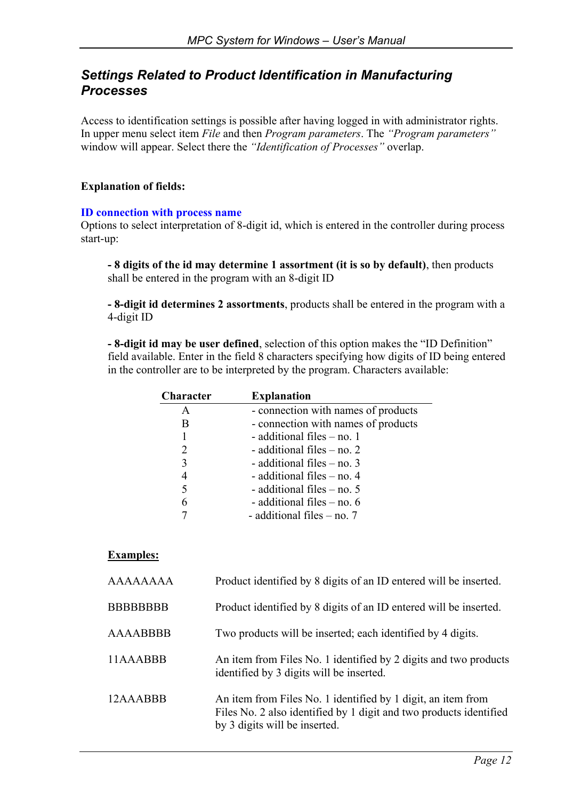### *Settings Related to Product Identification in Manufacturing Processes*

Access to identification settings is possible after having logged in with administrator rights. In upper menu select item *File* and then *Program parameters*. The *"Program parameters"* window will appear. Select there the *"Identification of Processes"* overlap.

### **Explanation of fields:**

#### **ID connection with process name**

Options to select interpretation of 8-digit id, which is entered in the controller during process start-up:

**- 8 digits of the id may determine 1 assortment (it is so by default)**, then products shall be entered in the program with an 8-digit ID

**- 8-digit id determines 2 assortments**, products shall be entered in the program with a 4-digit ID

**- 8-digit id may be user defined**, selection of this option makes the "ID Definition" field available. Enter in the field 8 characters specifying how digits of ID being entered in the controller are to be interpreted by the program. Characters available:

| <b>Character</b>            | <b>Explanation</b>                  |  |  |  |  |  |  |
|-----------------------------|-------------------------------------|--|--|--|--|--|--|
| A                           | - connection with names of products |  |  |  |  |  |  |
| В                           | - connection with names of products |  |  |  |  |  |  |
|                             | - additional files – no. 1          |  |  |  |  |  |  |
| $\mathcal{D}_{\mathcal{L}}$ | - additional files $-$ no. 2        |  |  |  |  |  |  |
| 3                           | - additional files $-$ no. 3        |  |  |  |  |  |  |
| 4                           | - additional files $-$ no. 4        |  |  |  |  |  |  |
| 5                           | - additional files $-$ no. 5        |  |  |  |  |  |  |
| 6                           | - additional files - no. 6          |  |  |  |  |  |  |
|                             | - additional files $-$ no. 7        |  |  |  |  |  |  |

#### **Examples:**

| AAAAAAAA         | Product identified by 8 digits of an ID entered will be inserted.                                                                                                   |
|------------------|---------------------------------------------------------------------------------------------------------------------------------------------------------------------|
| <b>BBBBBBBBB</b> | Product identified by 8 digits of an ID entered will be inserted.                                                                                                   |
| <b>AAAABBBB</b>  | Two products will be inserted; each identified by 4 digits.                                                                                                         |
| 11AAABBB         | An item from Files No. 1 identified by 2 digits and two products<br>identified by 3 digits will be inserted.                                                        |
| 12AAABBB         | An item from Files No. 1 identified by 1 digit, an item from<br>Files No. 2 also identified by 1 digit and two products identified<br>by 3 digits will be inserted. |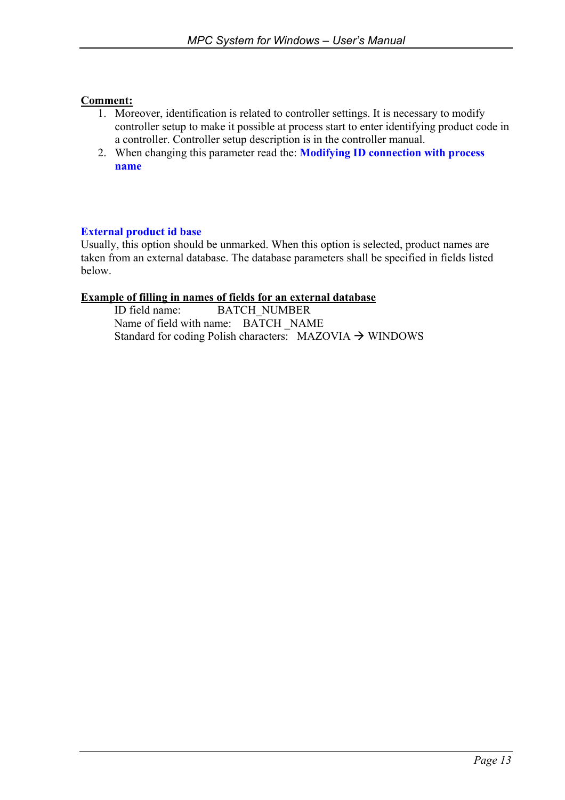#### **Comment:**

- 1. Moreover, identification is related to controller settings. It is necessary to modify controller setup to make it possible at process start to enter identifying product code in a controller. Controller setup description is in the controller manual.
- 2. When changing this parameter read the: **Modifying ID connection with process name**

#### **External product id base**

Usually, this option should be unmarked. When this option is selected, product names are taken from an external database. The database parameters shall be specified in fields listed below.

#### **Example of filling in names of fields for an external database**

ID field name: BATCH\_NUMBER Name of field with name: BATCH NAME Standard for coding Polish characters:  $MAZOVIA \rightarrow WINDOWS$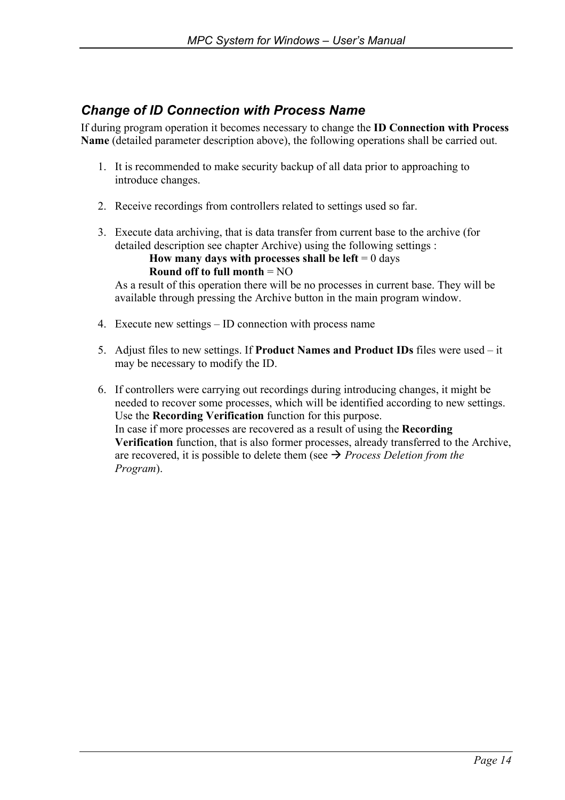## *Change of ID Connection with Process Name*

If during program operation it becomes necessary to change the **ID Connection with Process Name** (detailed parameter description above), the following operations shall be carried out.

- 1. It is recommended to make security backup of all data prior to approaching to introduce changes.
- 2. Receive recordings from controllers related to settings used so far.
- 3. Execute data archiving, that is data transfer from current base to the archive (for detailed description see chapter Archive) using the following settings :

**How many days with processes shall be left**  $= 0$  days **Round off to full month** = NO

As a result of this operation there will be no processes in current base. They will be available through pressing the Archive button in the main program window.

- 4. Execute new settings ID connection with process name
- 5. Adjust files to new settings. If **Product Names and Product IDs** files were used it may be necessary to modify the ID.
- 6. If controllers were carrying out recordings during introducing changes, it might be needed to recover some processes, which will be identified according to new settings. Use the **Recording Verification** function for this purpose. In case if more processes are recovered as a result of using the **Recording Verification** function, that is also former processes, already transferred to the Archive, are recovered, it is possible to delete them (see  $\rightarrow$  *Process Deletion from the Program*).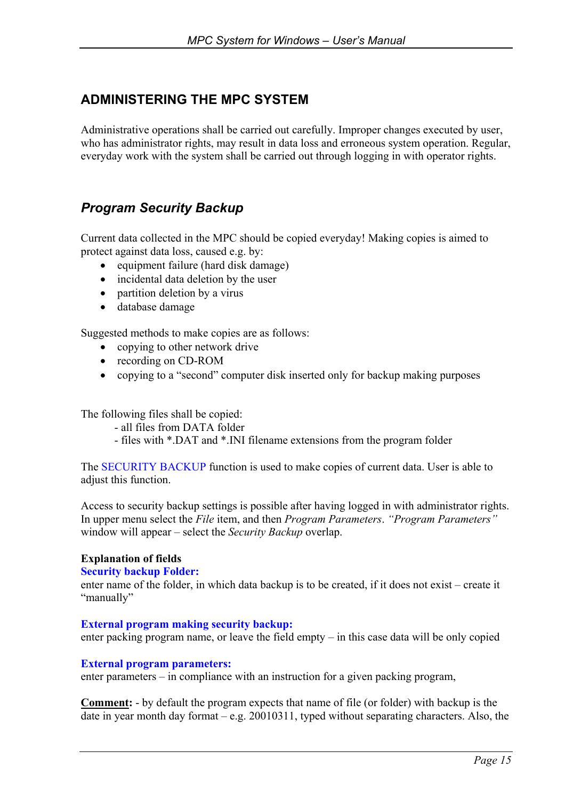## **ADMINISTERING THE MPC SYSTEM**

Administrative operations shall be carried out carefully. Improper changes executed by user, who has administrator rights, may result in data loss and erroneous system operation. Regular, everyday work with the system shall be carried out through logging in with operator rights.

## *Program Security Backup*

Current data collected in the MPC should be copied everyday! Making copies is aimed to protect against data loss, caused e.g. by:

- equipment failure (hard disk damage)
- incidental data deletion by the user
- partition deletion by a virus
- database damage

Suggested methods to make copies are as follows:

- copying to other network drive
- recording on CD-ROM
- copying to a "second" computer disk inserted only for backup making purposes

The following files shall be copied:

- all files from DATA folder
- files with \*.DAT and \*.INI filename extensions from the program folder

The **SECURITY BACKUP** function is used to make copies of current data. User is able to adjust this function.

Access to security backup settings is possible after having logged in with administrator rights. In upper menu select the *File* item, and then *Program Parameters*. *"Program Parameters"* window will appear – select the *Security Backup* overlap.

#### **Explanation of fields**

#### **Security backup Folder:**

enter name of the folder, in which data backup is to be created, if it does not exist – create it "manually"

#### **External program making security backup:**

enter packing program name, or leave the field empty – in this case data will be only copied

#### **External program parameters:**

enter parameters – in compliance with an instruction for a given packing program,

**Comment:** - by default the program expects that name of file (or folder) with backup is the date in year month day format – e.g. 20010311, typed without separating characters. Also, the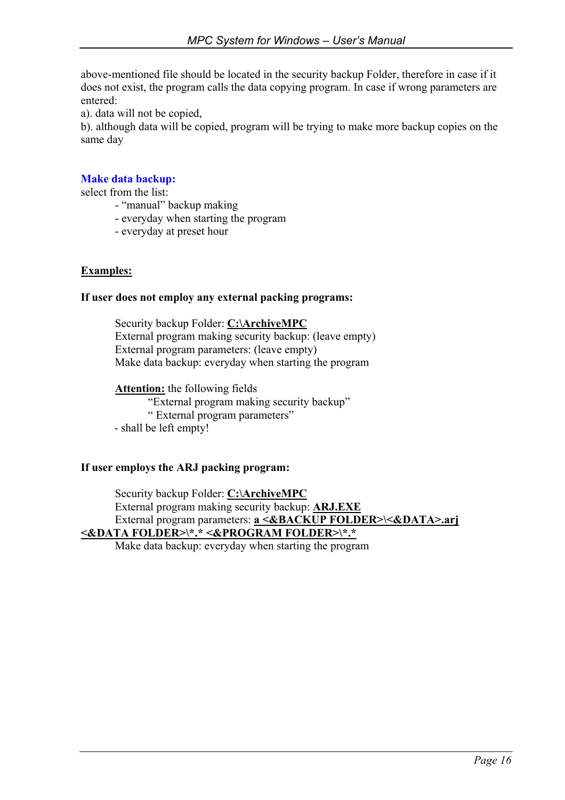above-mentioned file should be located in the security backup Folder, therefore in case if it does not exist, the program calls the data copying program. In case if wrong parameters are entered:

a). data will not be copied,

b). although data will be copied, program will be trying to make more backup copies on the same day

### **Make data backup:**

select from the list:

- "manual" backup making
- everyday when starting the program
- everyday at preset hour

#### **Examples:**

#### **If user does not employ any external packing programs:**

 Security backup Folder: **C:\ArchiveMPC** External program making security backup: (leave empty) External program parameters: (leave empty) Make data backup: everyday when starting the program

**Attention:** the following fields

"External program making security backup" " External program parameters" - shall be left empty!

#### **If user employs the ARJ packing program:**

 Security backup Folder: **C:\ArchiveMPC** External program making security backup: **ARJ.EXE** External program parameters: **a <&BACKUP FOLDER>\<&DATA>.arj <&DATA FOLDER>\\*.\* <&PROGRAM FOLDER>\\*.\***

Make data backup: everyday when starting the program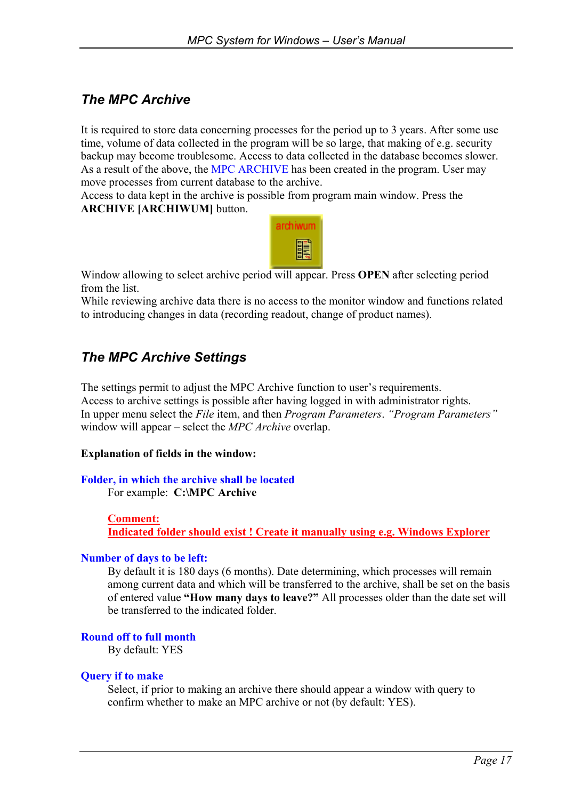# *The MPC Archive*

It is required to store data concerning processes for the period up to 3 years. After some use time, volume of data collected in the program will be so large, that making of e.g. security backup may become troublesome. Access to data collected in the database becomes slower. As a result of the above, the MPC ARCHIVE has been created in the program. User may move processes from current database to the archive.

Access to data kept in the archive is possible from program main window. Press the **ARCHIVE [ARCHIWUM]** button.



Window allowing to select archive period will appear. Press **OPEN** after selecting period from the list.

While reviewing archive data there is no access to the monitor window and functions related to introducing changes in data (recording readout, change of product names).

## *The MPC Archive Settings*

The settings permit to adjust the MPC Archive function to user's requirements. Access to archive settings is possible after having logged in with administrator rights. In upper menu select the *File* item, and then *Program Parameters*. *"Program Parameters"* window will appear – select the *MPC Archive* overlap.

#### **Explanation of fields in the window:**

#### **Folder, in which the archive shall be located**

For example: **C:\MPC Archive** 

#### **Comment:**

**Indicated folder should exist ! Create it manually using e.g. Windows Explorer**

#### **Number of days to be left:**

By default it is 180 days (6 months). Date determining, which processes will remain among current data and which will be transferred to the archive, shall be set on the basis of entered value **"How many days to leave?"** All processes older than the date set will be transferred to the indicated folder.

#### **Round off to full month**

By default: YES

#### **Query if to make**

Select, if prior to making an archive there should appear a window with query to confirm whether to make an MPC archive or not (by default: YES).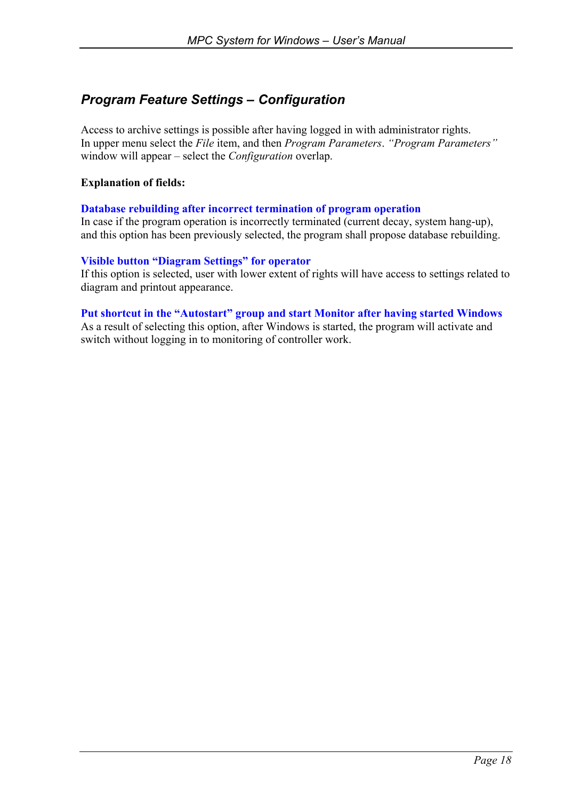# *Program Feature Settings – Configuration*

Access to archive settings is possible after having logged in with administrator rights. In upper menu select the *File* item, and then *Program Parameters*. *"Program Parameters"* window will appear – select the *Configuration* overlap.

### **Explanation of fields:**

#### **Database rebuilding after incorrect termination of program operation**

In case if the program operation is incorrectly terminated (current decay, system hang-up), and this option has been previously selected, the program shall propose database rebuilding.

#### **Visible button "Diagram Settings" for operator**

If this option is selected, user with lower extent of rights will have access to settings related to diagram and printout appearance.

#### **Put shortcut in the "Autostart" group and start Monitor after having started Windows**

As a result of selecting this option, after Windows is started, the program will activate and switch without logging in to monitoring of controller work.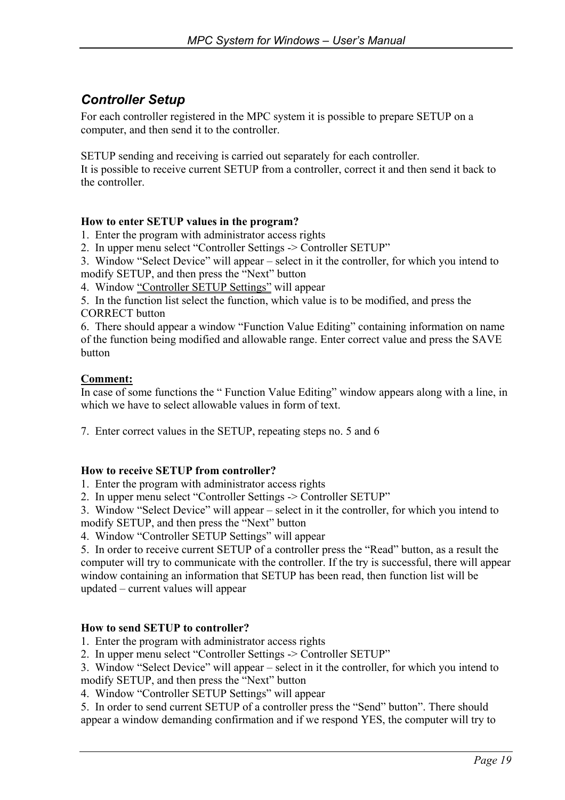# *Controller Setup*

For each controller registered in the MPC system it is possible to prepare SETUP on a computer, and then send it to the controller.

SETUP sending and receiving is carried out separately for each controller.

It is possible to receive current SETUP from a controller, correct it and then send it back to the controller.

### **How to enter SETUP values in the program?**

1. Enter the program with administrator access rights

2. In upper menu select "Controller Settings -> Controller SETUP"

3. Window "Select Device" will appear – select in it the controller, for which you intend to modify SETUP, and then press the "Next" button

4. Window "Controller SETUP Settings" will appear

5. In the function list select the function, which value is to be modified, and press the CORRECT button

6. There should appear a window "Function Value Editing" containing information on name of the function being modified and allowable range. Enter correct value and press the SAVE button

#### **Comment:**

In case of some functions the " Function Value Editing" window appears along with a line, in which we have to select allowable values in form of text.

7. Enter correct values in the SETUP, repeating steps no. 5 and 6

#### **How to receive SETUP from controller?**

1. Enter the program with administrator access rights

2. In upper menu select "Controller Settings -> Controller SETUP"

3. Window "Select Device" will appear – select in it the controller, for which you intend to modify SETUP, and then press the "Next" button

4. Window "Controller SETUP Settings" will appear

5. In order to receive current SETUP of a controller press the "Read" button, as a result the computer will try to communicate with the controller. If the try is successful, there will appear window containing an information that SETUP has been read, then function list will be updated – current values will appear

#### **How to send SETUP to controller?**

1. Enter the program with administrator access rights

2. In upper menu select "Controller Settings -> Controller SETUP"

3. Window "Select Device" will appear – select in it the controller, for which you intend to modify SETUP, and then press the "Next" button

4. Window "Controller SETUP Settings" will appear

5. In order to send current SETUP of a controller press the "Send" button". There should appear a window demanding confirmation and if we respond YES, the computer will try to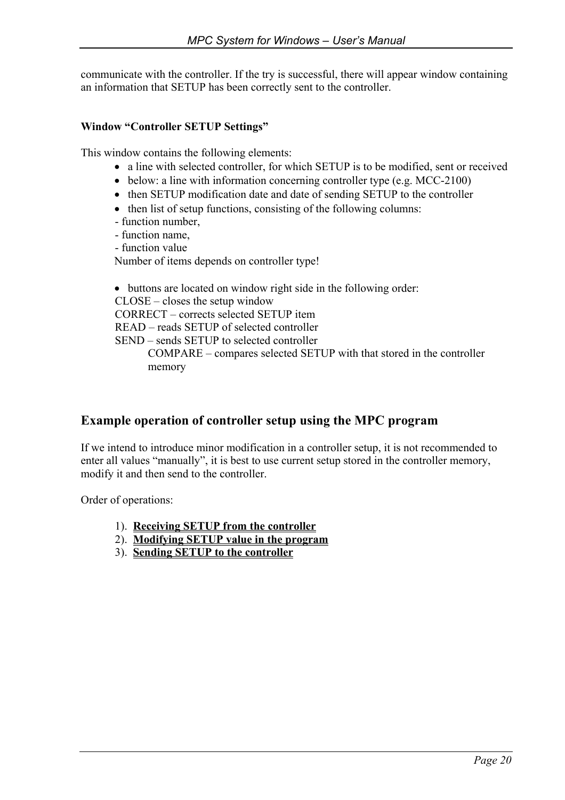communicate with the controller. If the try is successful, there will appear window containing an information that SETUP has been correctly sent to the controller.

#### **Window "Controller SETUP Settings"**

This window contains the following elements:

- a line with selected controller, for which SETUP is to be modified, sent or received
- below: a line with information concerning controller type (e.g. MCC-2100)
- then SETUP modification date and date of sending SETUP to the controller
- then list of setup functions, consisting of the following columns:
- function number,
- function name,
- function value

Number of items depends on controller type!

• buttons are located on window right side in the following order:

CLOSE – closes the setup window

CORRECT – corrects selected SETUP item

READ – reads SETUP of selected controller

SEND – sends SETUP to selected controller

COMPARE – compares selected SETUP with that stored in the controller memory

### **Example operation of controller setup using the MPC program**

If we intend to introduce minor modification in a controller setup, it is not recommended to enter all values "manually", it is best to use current setup stored in the controller memory, modify it and then send to the controller.

Order of operations:

- 1). **Receiving SETUP from the controller**
- 2). **Modifying SETUP value in the program**
- 3). **Sending SETUP to the controller**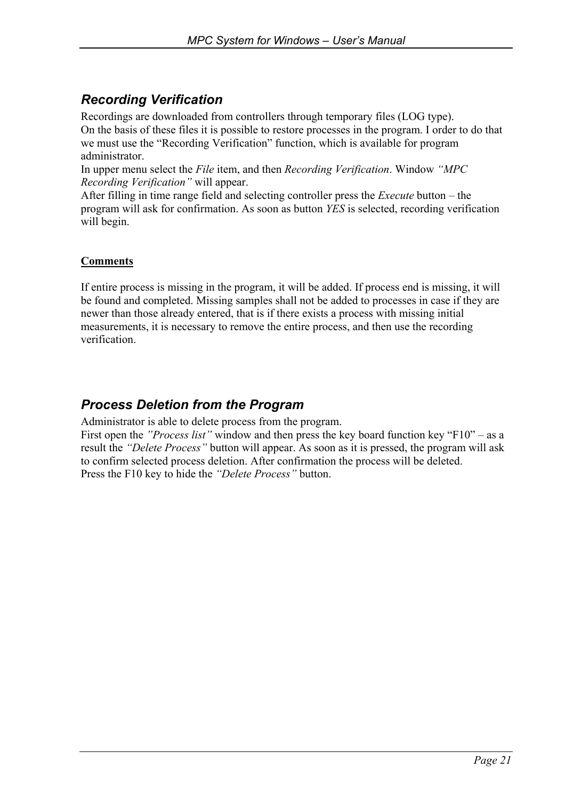# *Recording Verification*

Recordings are downloaded from controllers through temporary files (LOG type).

On the basis of these files it is possible to restore processes in the program. I order to do that we must use the "Recording Verification" function, which is available for program administrator.

In upper menu select the *File* item, and then *Recording Verification*. Window *"MPC Recording Verification"* will appear.

After filling in time range field and selecting controller press the *Execute* button – the program will ask for confirmation. As soon as button *YES* is selected, recording verification will begin.

### **Comments**

If entire process is missing in the program, it will be added. If process end is missing, it will be found and completed. Missing samples shall not be added to processes in case if they are newer than those already entered, that is if there exists a process with missing initial measurements, it is necessary to remove the entire process, and then use the recording verification.

# *Process Deletion from the Program*

Administrator is able to delete process from the program.

First open the *"Process list"* window and then press the key board function key "F10" – as a result the *"Delete Process"* button will appear. As soon as it is pressed, the program will ask to confirm selected process deletion. After confirmation the process will be deleted. Press the F10 key to hide the *"Delete Process"* button.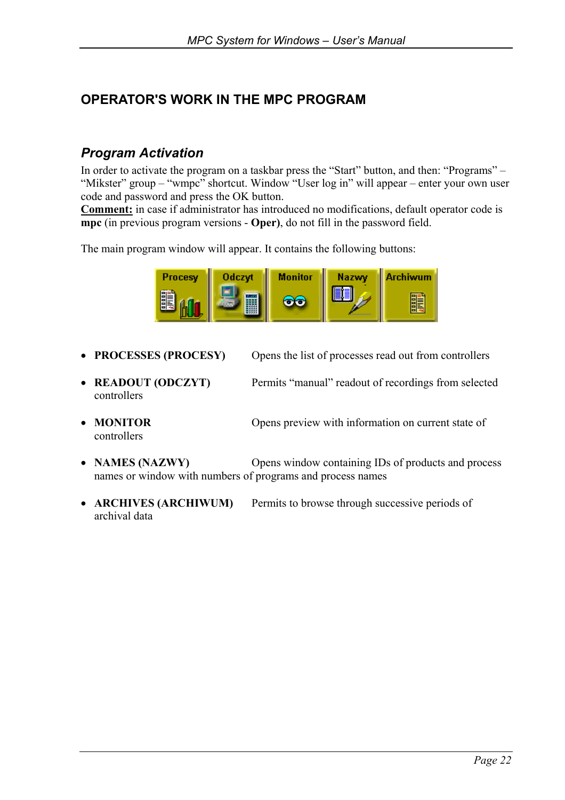# **OPERATOR'S WORK IN THE MPC PROGRAM**

## *Program Activation*

In order to activate the program on a taskbar press the "Start" button, and then: "Programs" – "Mikster" group – "wmpc" shortcut. Window "User log in" will appear – enter your own user code and password and press the OK button.

**Comment:** in case if administrator has introduced no modifications, default operator code is **mpc** (in previous program versions - **Oper)**, do not fill in the password field.

The main program window will appear. It contains the following buttons:



- **PROCESSES (PROCESY)** Opens the list of processes read out from controllers
- **READOUT (ODCZYT)** Permits "manual" readout of recordings from selected controllers
- **MONITOR** Opens preview with information on current state of controllers
- **NAMES (NAZWY)** Opens window containing IDs of products and process names or window with numbers of programs and process names
- **ARCHIVES (ARCHIWUM)** Permits to browse through successive periods of archival data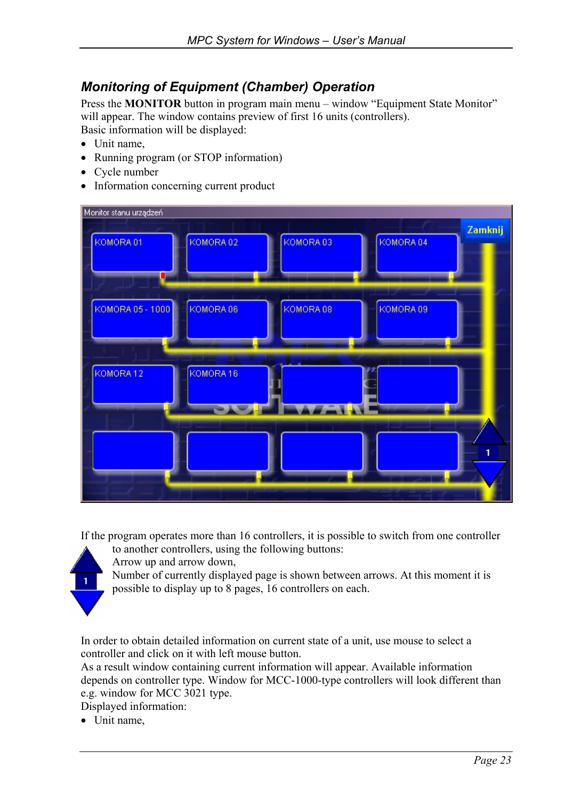## *Monitoring of Equipment (Chamber) Operation*

Press the **MONITOR** button in program main menu – window "Equipment State Monitor" will appear. The window contains preview of first 16 units (controllers). Basic information will be displayed:

- Unit name,
- Running program (or STOP information)
- Cycle number
- Information concerning current product

| Monitor stanu urządzeń |                      |           |           |         |
|------------------------|----------------------|-----------|-----------|---------|
| KOMORA 01              | KOMORA 02            | KOMORA 03 | KOMORA 04 | Zamknij |
| KOMORA 05 - 1000       | KOMORA 06            | KOMORA 08 | KOMORA 09 |         |
| KOMORA12               | KOMORA <sub>16</sub> |           |           |         |
|                        |                      |           |           |         |

If the program operates more than 16 controllers, it is possible to switch from one controller to another controllers, using the following buttons:



Arrow up and arrow down, Number of currently displayed page is shown between arrows. At this moment it is possible to display up to 8 pages, 16 controllers on each.

In order to obtain detailed information on current state of a unit, use mouse to select a controller and click on it with left mouse button.

As a result window containing current information will appear. Available information depends on controller type. Window for MCC-1000-type controllers will look different than e.g. window for MCC 3021 type.

Displayed information:

• Unit name,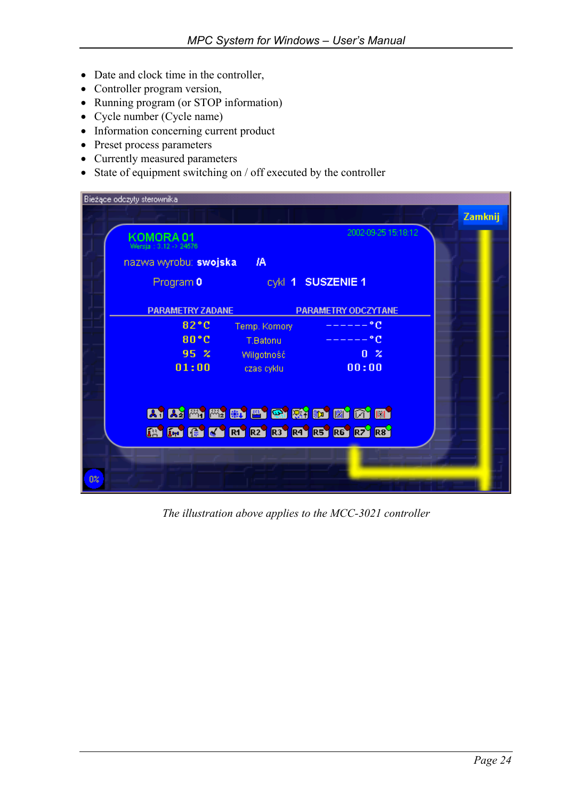- Date and clock time in the controller,
- Controller program version,
- Running program (or STOP information)
- Cycle number (Cycle name)
- Information concerning current product
- Preset process parameters
- Currently measured parameters
- State of equipment switching on / off executed by the controller

|                | Bieżące odczyty sterownika                                |         |  |
|----------------|-----------------------------------------------------------|---------|--|
|                |                                                           | Zamknij |  |
|                | 2002-09-25 15:18:12<br>KOMORA 01<br>Wersia: 3.12 -> 24576 |         |  |
|                | nazwa wyrobu: swojska<br>IA.                              |         |  |
|                | cykl 1 SUSZENIE 1<br>Program 0                            |         |  |
|                | <b>PARAMETRY ZADANE</b><br><b>PARAMETRY ODCZYTANE</b>     |         |  |
|                | 82°C<br>۰c<br>Temp. Komory                                |         |  |
|                | 80 °C<br>۰c<br>T.Batonu                                   |         |  |
|                | 95 <sup>2</sup><br>0 <sup>x</sup><br>Wilgotność           |         |  |
|                | 01:00<br>00:00<br>czas cyklu.                             |         |  |
|                |                                                           |         |  |
|                |                                                           |         |  |
|                | A K K 1 3 3 3 3 3 4 3 3 3 3 4 3 4 4 5 4 4                 |         |  |
|                | <b>EN EN GO KA' RA' R2' R3' R4' R5' R6' R7' R3'</b>       |         |  |
|                |                                                           |         |  |
| 0 <sup>2</sup> |                                                           |         |  |
|                |                                                           |         |  |

*The illustration above applies to the MCC-3021 controller*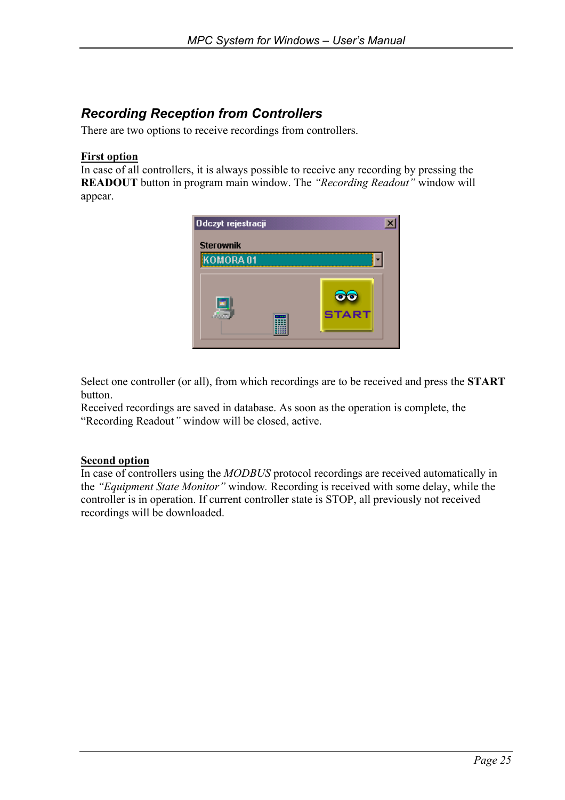# *Recording Reception from Controllers*

There are two options to receive recordings from controllers.

#### **First option**

In case of all controllers, it is always possible to receive any recording by pressing the **READOUT** button in program main window. The *"Recording Readout"* window will appear.



Select one controller (or all), from which recordings are to be received and press the **START** button.

Received recordings are saved in database. As soon as the operation is complete, the "Recording Readout*"* window will be closed, active.

#### **Second option**

In case of controllers using the *MODBUS* protocol recordings are received automatically in the *"Equipment State Monitor"* window*.* Recording is received with some delay, while the controller is in operation. If current controller state is STOP, all previously not received recordings will be downloaded.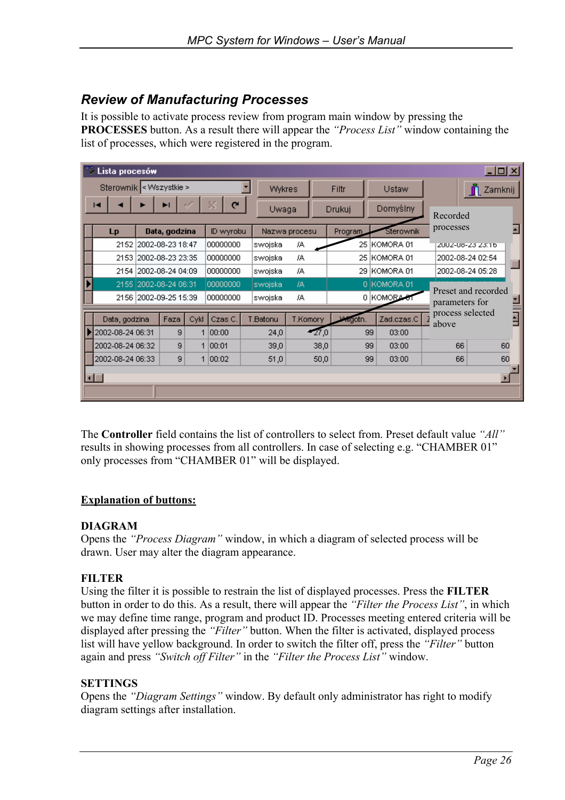## *Review of Manufacturing Processes*

It is possible to activate process review from program main window by pressing the **PROCESSES** button. As a result there will appear the *"Process List"* window containing the list of processes, which were registered in the program.

|                         | $\Box$ o $\boxtimes$<br>Lista procesów |  |                       |         |               |               |               |              |            |                  |                  |                                       |                  |                  |                |
|-------------------------|----------------------------------------|--|-----------------------|---------|---------------|---------------|---------------|--------------|------------|------------------|------------------|---------------------------------------|------------------|------------------|----------------|
| Sterownik < Wszystkie > |                                        |  |                       |         |               | <b>Wykres</b> |               |              | Filtr      |                  | Ustaw            |                                       | П                | Zamknij          |                |
| C<br>н<br>ы             |                                        |  | Uwaga                 |         | Drukuj        |               | Domyślny      |              | Recorded   |                  |                  |                                       |                  |                  |                |
|                         | <b>Lp</b>                              |  | Data, godzina         |         | ID wyrobu     |               | Nazwa procesu |              |            | Program          |                  | Sterownik                             | processes        |                  |                |
|                         | 2152                                   |  | 2002-08-23 18:47      |         | 00000000      |               | swojska       | IA.          |            |                  |                  | 25 KOMORA 01                          | ZUUZ-U6-Z3 Z3.T6 |                  |                |
|                         | 2153 2002-08-23 23:35                  |  | 00000000              |         | swojska       | JA.           |               | 25 KOMORA 01 |            |                  | 2002-08-24 02:54 |                                       |                  |                  |                |
|                         | 2002-08-24 04:09<br>00000000<br>2154   |  |                       | swojska | 7A            |               | 29 KOMORA 01  |              |            | 2002-08-24 05:28 |                  |                                       |                  |                  |                |
|                         |                                        |  | 2155 2002-08-24 06:31 |         | 00000000      |               | swojska       | 7A           |            |                  |                  | 0 KOMORA 01                           |                  |                  |                |
|                         | 2002-09-25 15:39<br>2156               |  | 00000000              |         | swojska<br>7A |               |               |              | 0 KOMORA-  |                  |                  | Preset and recorded<br>parameters for |                  |                  |                |
|                         |                                        |  |                       |         |               |               |               |              |            |                  |                  |                                       |                  | process selected |                |
|                         | Faza<br>Data, godzina                  |  | Cykl                  | Czas C. |               | T.Batonu      | T.Komory      |              | willigotn. |                  | Zad.czas.C       | above                                 |                  | Ð                |                |
| 2002-08-24 06:31        |                                        |  | 9                     |         | 1 00:00       |               | 24,0          |              | 27,0       |                  | 99               | 03:00                                 |                  |                  |                |
|                         | 2002-08-24 06:32                       |  | 9                     |         | 1 00:01       |               | 39,0          |              | 38,0       |                  | 99               | 03:00                                 |                  | 66               | 60             |
|                         | 2002-08-24 06:33<br>9<br>1 00:02       |  |                       | 51,0    | 50,0          |               | 99<br>03:00   |              |            | 66               | 60               |                                       |                  |                  |                |
|                         | $\blacksquare$                         |  |                       |         |               |               |               |              |            |                  |                  |                                       |                  |                  | $\blacksquare$ |
|                         |                                        |  |                       |         |               |               |               |              |            |                  |                  |                                       |                  |                  |                |

The **Controller** field contains the list of controllers to select from. Preset default value *"All"* results in showing processes from all controllers. In case of selecting e.g. "CHAMBER 01" only processes from "CHAMBER 01" will be displayed.

#### **Explanation of buttons:**

#### **DIAGRAM**

Opens the *"Process Diagram"* window, in which a diagram of selected process will be drawn. User may alter the diagram appearance.

### **FILTER**

Using the filter it is possible to restrain the list of displayed processes. Press the **FILTER**  button in order to do this. As a result, there will appear the *"Filter the Process List"*, in which we may define time range, program and product ID. Processes meeting entered criteria will be displayed after pressing the *"Filter"* button. When the filter is activated, displayed process list will have yellow background. In order to switch the filter off, press the *"Filter"* button again and press *"Switch off Filter"* in the *"Filter the Process List"* window.

#### **SETTINGS**

Opens the *"Diagram Settings"* window. By default only administrator has right to modify diagram settings after installation.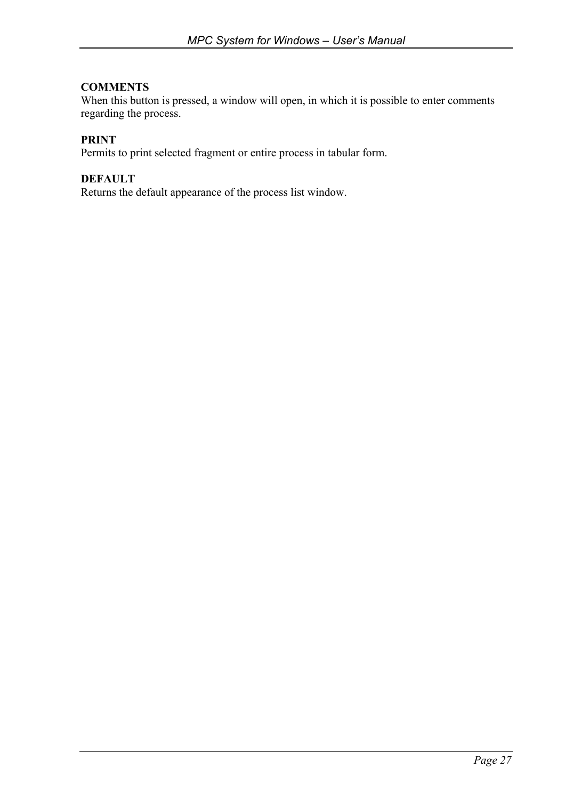#### **COMMENTS**

When this button is pressed, a window will open, in which it is possible to enter comments regarding the process.

### **PRINT**

Permits to print selected fragment or entire process in tabular form.

### **DEFAULT**

Returns the default appearance of the process list window.